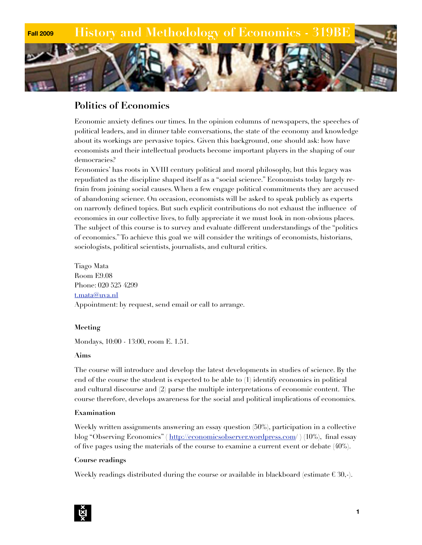

# **Politics of Economics**

Economic anxiety defines our times. In the opinion columns of newspapers, the speeches of political leaders, and in dinner table conversations, the state of the economy and knowledge about its workings are pervasive topics. Given this background, one should ask: how have economists and their intellectual products become important players in the shaping of our democracies?

Economics' has roots in XVIII century political and moral philosophy, but this legacy was repudiated as the discipline shaped itself as a "social science." Economists today largely refrain from joining social causes. When a few engage political commitments they are accused of abandoning science. On occasion, economists will be asked to speak publicly as experts on narrowly defined topics. But such explicit contributions do not exhaust the influence of economics in our collective lives, to fully appreciate it we must look in non-obvious places. The subject of this course is to survey and evaluate different understandings of the "politics of economics." To achieve this goal we will consider the writings of economists, historians, sociologists, political scientists, journalists, and cultural critics.

Tiago Mata Room E9.08 Phone: 020 525 4299 [t.mata@uva.nl](mailto:t.mata@uva.nl) Appointment: by request, send email or call to arrange.

# **Meeting**

Mondays, 10:00 - 13:00, room E. 1.51.

# **Aims**

The course will introduce and develop the latest developments in studies of science. By the end of the course the student is expected to be able to (1) identify economics in political and cultural discourse and (2) parse the multiple interpretations of economic content. The course therefore, develops awareness for the social and political implications of economics.

# **Examination**

Weekly written assignments answering an essay question (50%), participation in a collective blog "Observing Economics" ( <http://economicsobserver.wordpress.com>/ ) (10%), final essay of five pages using the materials of the course to examine a current event or debate (40%).

# **Course readings**

Weekly readings distributed during the course or available in blackboard (estimate  $\epsilon \, 30,$ -).

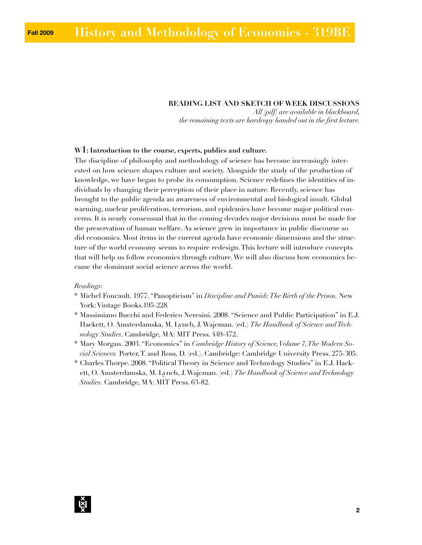#### **READING LIST AND SKETCH OF WEEK DISCUSSIONS**

*All [pdf] are available in blackboard, the remaining texts are hardcopy handed out in the first lecture.* 

#### **W1: Introduction to the course, experts, publics and culture.**

The discipline of philosophy and methodology of science has become increasingly interested on how science shapes culture and society. Alongside the study of the production of knowledge, we have began to probe its consumption. Science redefines the identities of individuals by changing their perception of their place in nature. Recently, science has brought to the public agenda an awareness of environmental and biological insult. Global warming, nuclear proliferation, terrorism, and epidemics have become major political concerns. It is nearly consensual that in the coming decades major decisions must be made for the preservation of human welfare. As science grew in importance in public discourse so did economics. Most items in the current agenda have economic dimensions and the structure of the world economy seems to require redesign. This lecture will introduce concepts that will help us follow economics through culture. We will also discuss how economics became the dominant social science across the world.

#### *Readings*:

- \* Michel Foucault. 1977. "Panopticism" in *Discipline and Punish: The Birth of the Prison.* New York: Vintage Books.195-228*.*
- \* Massimiano Bucchi and Federico Neresini. 2008. "Science and Public Participation" in E.J. Hackett, O. Amsterdamska, M. Lynch, J. Wajcman. (ed.) *The Handbook of Science and Technology Studies*. Cambridge, MA: MIT Press. 449-472.
- \* Mary Morgan. 2003. "Economics" in *Cambridge History of Science, Volume 7, The Modern Social Sciences.* Porter, T. and Ross, D. (ed.). Cambridge: Cambridge University Press. 275-305.
- \* Charles Thorpe. 2008. "Political Theory in Science and Technology Studies" in E.J. Hackett, O. Amsterdamska, M. Lynch, J. Wajcman. (ed.) *The Handbook of Science and Technology Studies*. Cambridge, MA: MIT Press. 63-82.

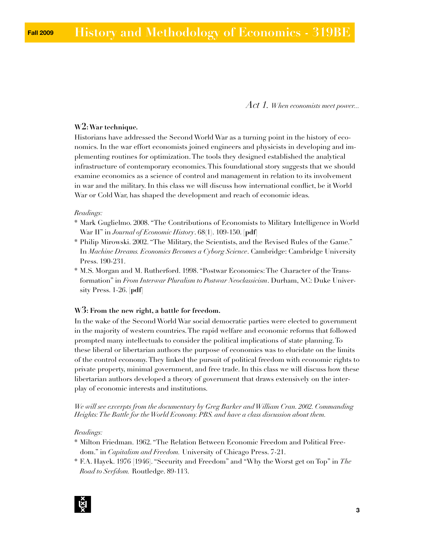*Act 1. When economists meet power...*

# **W2: War technique.**

Historians have addressed the Second World War as a turning point in the history of economics. In the war effort economists joined engineers and physicists in developing and implementing routines for optimization. The tools they designed established the analytical infrastructure of contemporary economics. This foundational story suggests that we should examine economics as a science of control and management in relation to its involvement in war and the military. In this class we will discuss how international conflict, be it World War or Cold War, has shaped the development and reach of economic ideas.

#### *Readings:*

- \* Mark Guglielmo. 2008. "The Contributions of Economists to Military Intelligence in World War II" in *Journal of Economic History*. 68(1). 109-150. **[pdf]**
- \* Philip Mirowski. 2002. "The Military, the Scientists, and the Revised Rules of the Game." In *Machine Dreams. Economics Becomes a Cyborg Science*. Cambridge: Cambridge University Press. 190-231.
- \* M.S. Morgan and M. Rutherford. 1998. "Postwar Economics: The Character of the Transformation" in *From Interwar Pluralism to Postwar Neoclassicism*. Durham, NC: Duke University Press. 1-26. **[pdf]**

# **W3: From the new right, a battle for freedom.**

In the wake of the Second World War social democratic parties were elected to government in the majority of western countries. The rapid welfare and economic reforms that followed prompted many intellectuals to consider the political implications of state planning. To these liberal or libertarian authors the purpose of economics was to elucidate on the limits of the control economy. They linked the pursuit of political freedom with economic rights to private property, minimal government, and free trade. In this class we will discuss how these libertarian authors developed a theory of government that draws extensively on the interplay of economic interests and institutions.

*We will see excerpts from the documentary by Greg Barker and William Cran. 2002. Commanding Heights: The Battle for the World Economy. PBS. and have a class discussion about them.* 

#### *Readings:*

- \* Milton Friedman. 1962. "The Relation Between Economic Freedom and Political Freedom." in *Capitalism and Freedom.* University of Chicago Press. 7-21.
- \* F.A. Hayek. 1976 [1946]. "Security and Freedom" and "Why the Worst get on Top" in *The Road to Serfdom.* Routledge. 89-113.

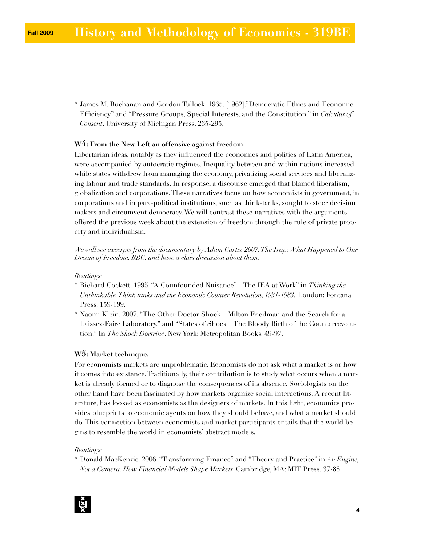\* James M. Buchanan and Gordon Tullock. 1965. [1962]."Democratic Ethics and Economic Efficiency" and "Pressure Groups, Special Interests, and the Constitution." in *Calculus of Consent*. University of Michigan Press. 265-295.

# **W4: From the New Left an offensive against freedom.**

Libertarian ideas, notably as they influenced the economies and polities of Latin America, were accompanied by autocratic regimes. Inequality between and within nations increased while states withdrew from managing the economy, privatizing social services and liberalizing labour and trade standards. In response, a discourse emerged that blamed liberalism, globalization and corporations. These narratives focus on how economists in government, in corporations and in para-political institutions, such as think-tanks, sought to steer decision makers and circumvent democracy. We will contrast these narratives with the arguments offered the previous week about the extension of freedom through the rule of private property and individualism.

*We will see excerpts from the documentary by Adam Curtis. 2007. The Trap: What Happened to Our Dream of Freedom. BBC. and have a class discussion about them.* 

#### *Readings:*

- \* Richard Cockett. 1995. "A Counfounded Nuisance" The IEA at Work" in *Thinking the Unthinkable. Think tanks and the Economic Counter Revolution, 1931-1983.* London: Fontana Press. 159-199.
- \* Naomi Klein. 2007. "The Other Doctor Shock Milton Friedman and the Search for a Laissez-Faire Laboratory." and "States of Shock – The Bloody Birth of the Counterrevolution." In *The Shock Doctrine*. New York: Metropolitan Books. 49-97.

### **W5: Market technique.**

For economists markets are unproblematic. Economists do not ask what a market is or how it comes into existence. Traditionally, their contribution is to study what occurs when a market is already formed or to diagnose the consequences of its absence. Sociologists on the other hand have been fascinated by how markets organize social interactions. A recent literature, has looked as economists as the designers of markets. In this light, economics provides blueprints to economic agents on how they should behave, and what a market should do. This connection between economists and market participants entails that the world begins to resemble the world in economists' abstract models.

#### *Readings:*

\* Donald MacKenzie. 2006. "Transforming Finance" and "Theory and Practice" in *An Engine, Not a Camera. How Financial Models Shape Markets.* Cambridge, MA: MIT Press. 37-88.

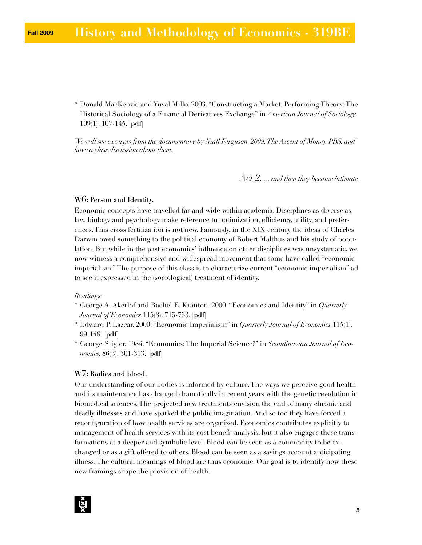\* Donald MacKenzie and Yuval Millo. 2003. "Constructing a Market, Performing Theory: The Historical Sociology of a Financial Derivatives Exchange" in *American Journal of Sociology.* 109(1). 107-145. **[pdf]**

*We will see excerpts from the documentary by Niall Ferguson. 2009. The Ascent of Money. PBS. and have a class discussion about them.*

*Act 2. ... and then they became intimate.*

# **W6: Person and Identity.**

Economic concepts have travelled far and wide within academia. Disciplines as diverse as law, biology and psychology make reference to optimization, efficiency, utility, and preferences. This cross fertilization is not new. Famously, in the XIX century the ideas of Charles Darwin owed something to the political economy of Robert Malthus and his study of population. But while in the past economics' influence on other disciplines was unsystematic, we now witness a comprehensive and widespread movement that some have called "economic imperialism." The purpose of this class is to characterize current "economic imperialism" ad to see it expressed in the (sociological) treatment of identity.

# *Readings:*

- \* George A. Akerlof and Rachel E. Kranton. 2000. "Economics and Identity" in *Quarterly Journal of Economics* 115(3). 715-753. **[pdf]**
- \* Edward P. Lazear. 2000. "Economic Imperialism" in *Quarterly Journal of Economics* 115(1). 99-146. **[pdf]**
- \* George Stigler. 1984. "Economics: The Imperial Science?" in *Scandinavian Journal of Economics.* 86(3). 301-313. **[pdf]**

# **W7: Bodies and blood.**

Our understanding of our bodies is informed by culture. The ways we perceive good health and its maintenance has changed dramatically in recent years with the genetic revolution in biomedical sciences. The projected new treatments envision the end of many chronic and deadly illnesses and have sparked the public imagination. And so too they have forced a reconfiguration of how health services are organized. Economics contributes explicitly to management of health services with its cost benefit analysis, but it also engages these transformations at a deeper and symbolic level. Blood can be seen as a commodity to be exchanged or as a gift offered to others. Blood can be seen as a savings account anticipating illness. The cultural meanings of blood are thus economic. Our goal is to identify how these new framings shape the provision of health.